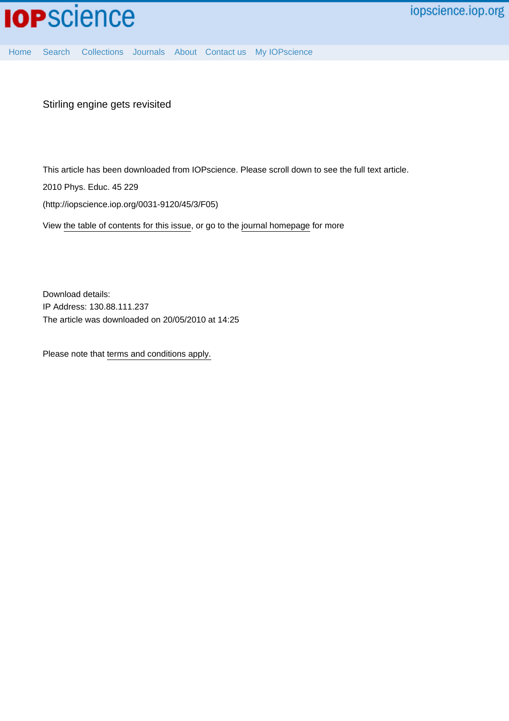

[Home](http://iopscience.iop.org/) [Search](http://iopscience.iop.org/search) [Collections](http://iopscience.iop.org/collections) [Journals](http://iopscience.iop.org/journals) [About](http://iopscience.iop.org/page/aboutioppublishing) [Contact us](http://iopscience.iop.org/contact) [My IOPscience](http://iopscience.iop.org/myiopscience)

Stirling engine gets revisited

This article has been downloaded from IOPscience. Please scroll down to see the full text article.

2010 Phys. Educ. 45 229

(http://iopscience.iop.org/0031-9120/45/3/F05)

View [the table of contents for this issue](http://iopscience.iop.org/0031-9120/45/3), or go to the [journal homepage](http://iopscience.iop.org/0031-9120) for more

Download details: IP Address: 130.88.111.237 The article was downloaded on 20/05/2010 at 14:25

Please note that [terms and conditions apply.](http://iopscience.iop.org/page/terms)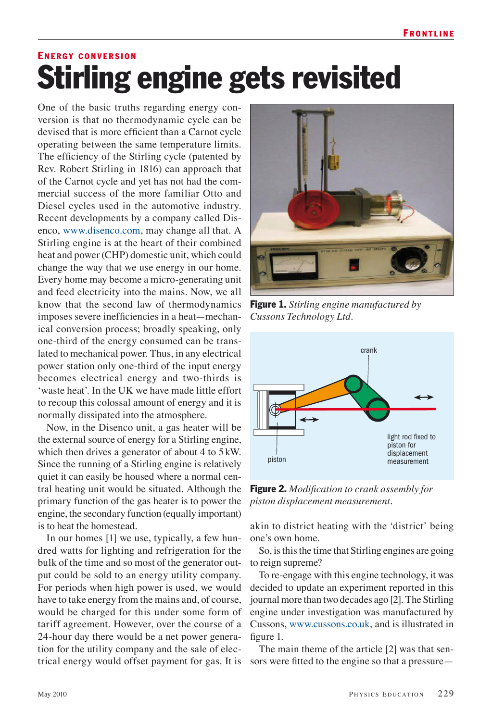## ENFRGY CONVERSION Stirling engine gets revisited

One of the basic truths regarding energy conversion is that no thermodynamic cycle can be devised that is more efficient than a Carnot cycle operating between the same temperature limits. The efficiency of the Stirling cycle (patented by Rev. Robert Stirling in 1816) can approach that of the Carnot cycle and yet has not had the commercial success of the more familiar Otto and Diesel cycles used in the automotive industry. Recent developments by a company called Disenco, www.disenco.com, may change all that. A Stirling engine is at the heart of their combined heat and power (CHP) domestic unit, which could change the way that we use energy in our home. Every home may become a micro-generating unit and feed electricity into the mains. Now, we all know that the second law of thermodynamics imposes severe inefficiencies in a heat—mechanical conversion process; broadly speaking, only one-third of the energy consumed can be translated to mechanical power. Thus, in any electrical power station only one-third of the input energy becomes electrical energy and two-thirds is 'waste heat'. In the UK we have made little effort to recoup this colossal amount of energy and it is normally dissipated into the atmosphere.

Now, in the Disenco unit, a gas heater will be the external source of energy for a Stirling engine, which then drives a generator of about 4 to 5 kW. Since the running of a Stirling engine is relatively quiet it can easily be housed where a normal central heating unit would be situated. Although the primary function of the gas heater is to power the engine, the secondary function (equally important) is to heat the homestead.

In our homes [1] we use, typically, a few hundred watts for lighting and refrigeration for the bulk of the time and so most of the generator output could be sold to an energy utility company. For periods when high power is used, we would have to take energy from the mains and, of course, would be charged for this under some form of tariff agreement. However, over the course of a 24-hour day there would be a net power generation for the utility company and the sale of electrical energy would offset payment for gas. It is sors were fitted to the engine so that a pressure—



Figure 1. *Stirling engine manufactured by Cussons Technology Ltd.*



Figure 2. *Modification to crank assembly for piston displacement measurement.*

akin to district heating with the 'district' being one's own home.

So, is this the time that Stirling engines are going to reign supreme?

To re-engage with this engine technology, it was decided to update an experiment reported in this journal more than two decades ago [2]. The Stirling engine under investigation was manufactured by Cussons, www.cussons.co.uk, and is illustrated in figure 1.

The main theme of the article [2] was that sen-